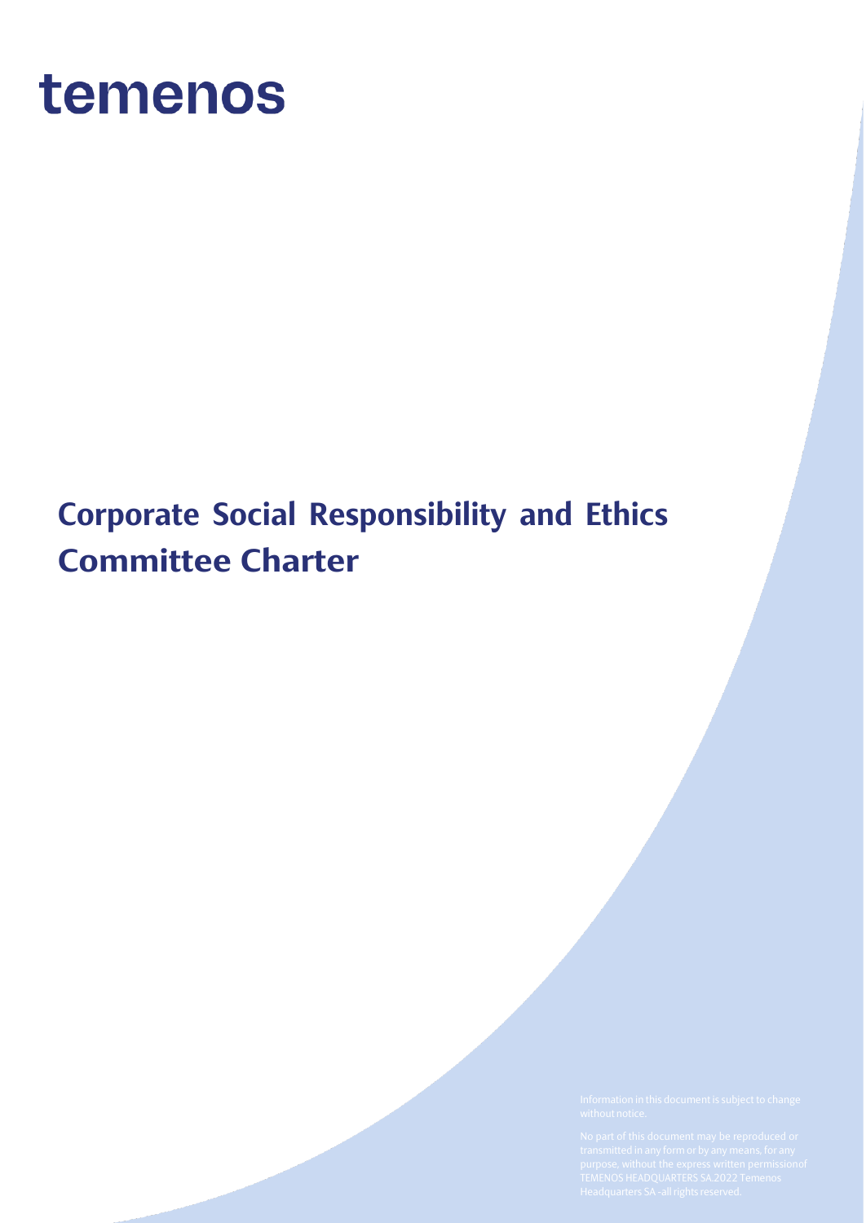

# **Corporate Social Responsibility and Ethics Committee Charter**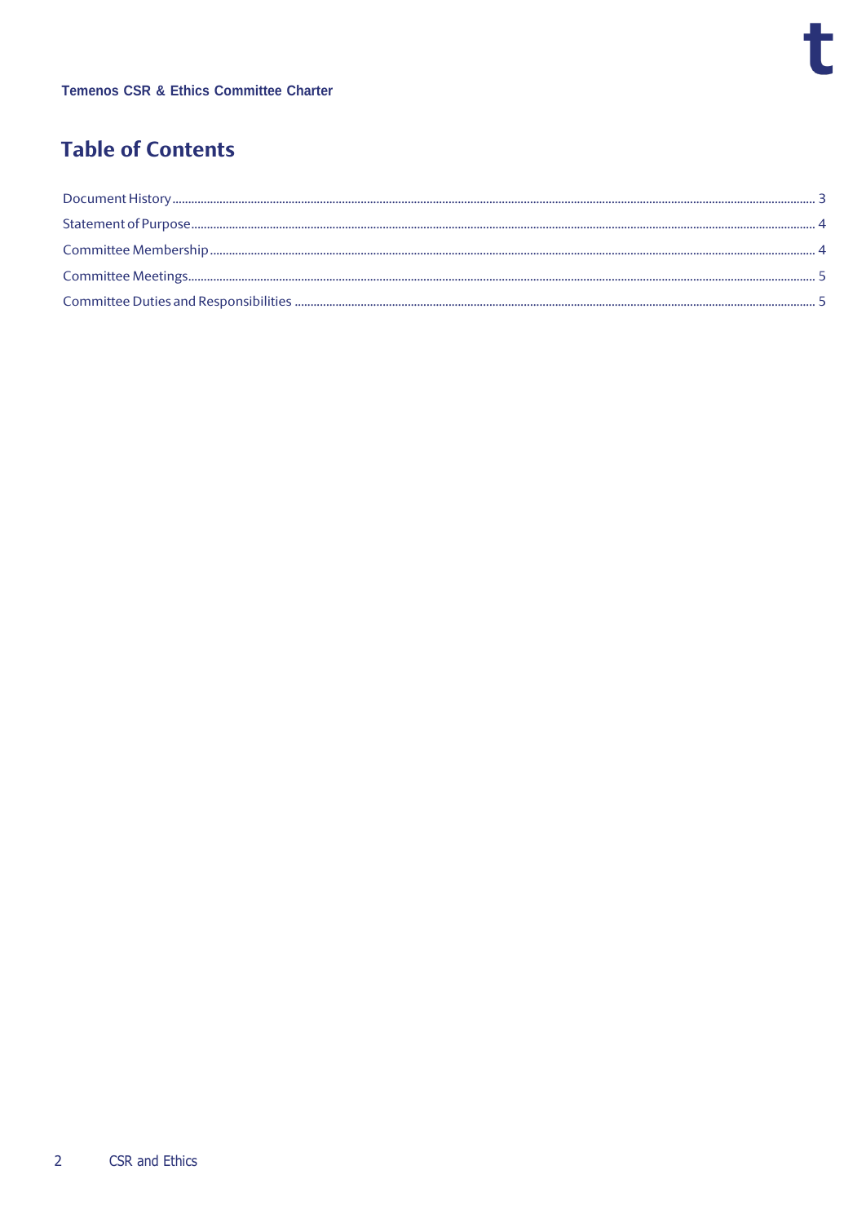# **Table of Contents**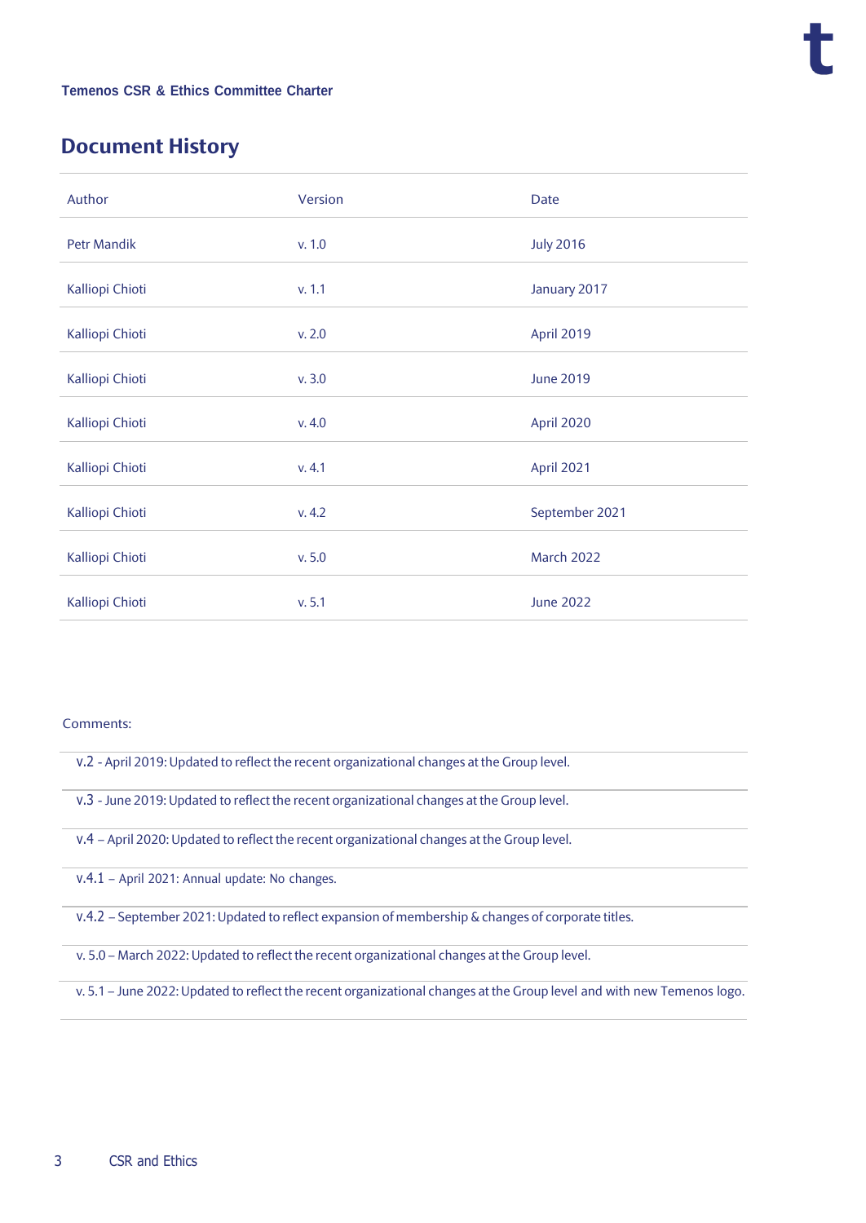## <span id="page-2-0"></span>**Document History**

| Author             | Version | <b>Date</b>       |
|--------------------|---------|-------------------|
| <b>Petr Mandik</b> | v. 1.0  | <b>July 2016</b>  |
| Kalliopi Chioti    | v. 1.1  | January 2017      |
| Kalliopi Chioti    | v. 2.0  | April 2019        |
| Kalliopi Chioti    | v.3.0   | <b>June 2019</b>  |
| Kalliopi Chioti    | v.4.0   | April 2020        |
| Kalliopi Chioti    | v. 4.1  | April 2021        |
| Kalliopi Chioti    | v. 4.2  | September 2021    |
| Kalliopi Chioti    | v. 5.0  | <b>March 2022</b> |
| Kalliopi Chioti    | v. 5.1  | <b>June 2022</b>  |

#### Comments:

- v.2 April 2019: Updated to reflect the recent organizational changes at the Group level.
- v.3 June 2019: Updated to reflect the recent organizational changes at the Group level.
- v.4 April 2020: Updated to reflect the recent organizational changes at the Group level.
- v.4.1 April 2021: Annual update: No changes.
- v.4.2 September 2021: Updated to reflect expansion of membership & changes of corporate titles.
- v. 5.0 March 2022: Updated to reflect the recent organizational changes at the Group level.
- v. 5.1 June 2022: Updated to reflect the recent organizational changes at the Group level and with new Temenos logo.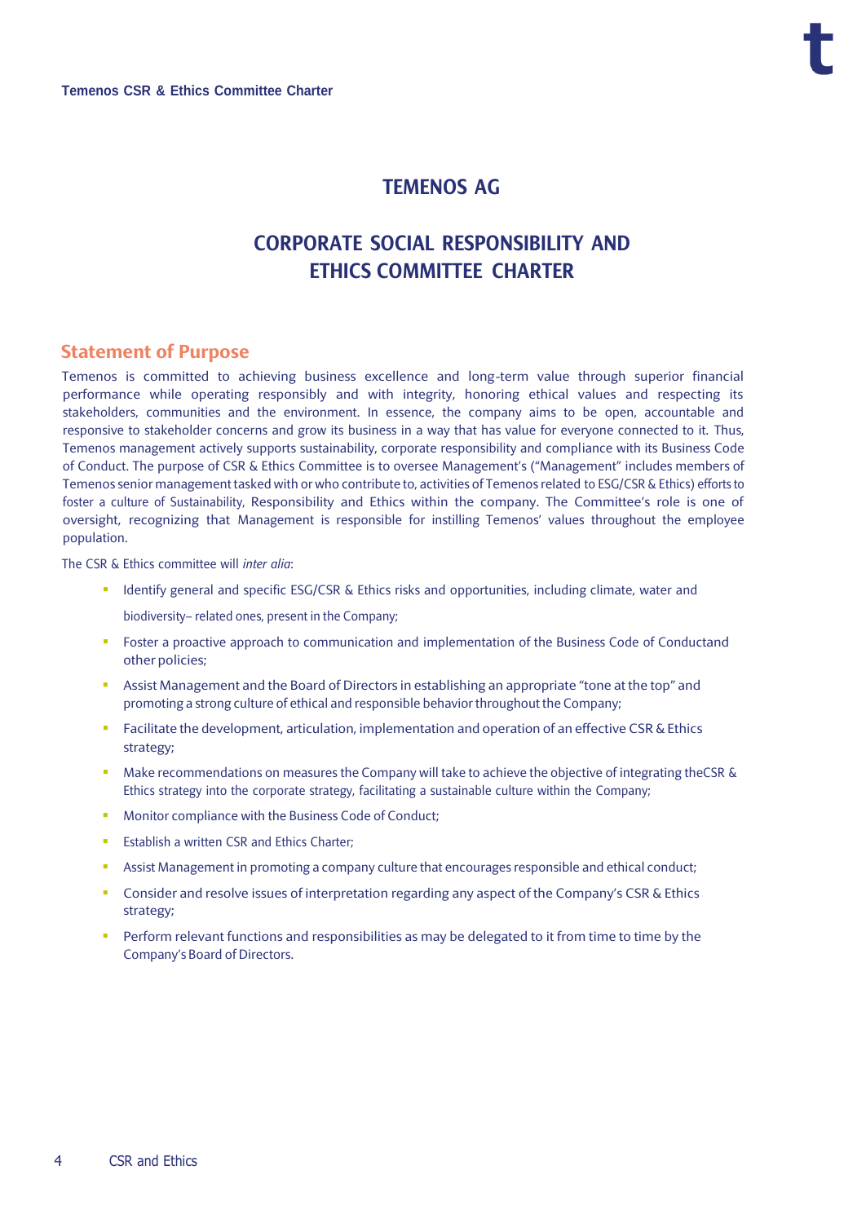### **TEMENOS AG**

# **CORPORATE SOCIAL RESPONSIBILITY AND ETHICS COMMITTEE CHARTER**

#### <span id="page-3-0"></span>**Statement of Purpose**

Temenos is committed to achieving business excellence and long-term value through superior financial performance while operating responsibly and with integrity, honoring ethical values and respecting its stakeholders, communities and the environment. In essence, the company aims to be open, accountable and responsive to stakeholder concerns and grow its business in a way that has value for everyone connected to it. Thus, Temenos management actively supports sustainability, corporate responsibility and compliance with its Business Code of Conduct. The purpose of CSR & Ethics Committee is to oversee Management's ("Management" includes members of Temenos senior management tasked with or who contribute to, activities of Temenos related to ESG/CSR & Ethics) efforts to foster a culture of Sustainability, Responsibility and Ethics within the company. The Committee's role is one of oversight, recognizing that Management is responsible for instilling Temenos' values throughout the employee population.

The CSR & Ethics committee will *inter alia*:

- Identify general and specific ESG/CSR & Ethics risks and opportunities, including climate, water and biodiversity– related ones, present in the Company;
- **•** Foster a proactive approach to communication and implementation of the Business Code of Conductand other policies;
- **E** Assist Management and the Board of Directors in establishing an appropriate "tone at the top" and promoting a strong culture of ethical and responsible behavior throughout the Company;
- **•** Facilitate the development, articulation, implementation and operation of an effective CSR & Ethics strategy;
- Make recommendations on measures the Company will take to achieve the objective of integrating theCSR & Ethics strategy into the corporate strategy, facilitating a sustainable culture within the Company;
- Monitor compliance with the Business Code of Conduct:
- **Establish a written CSR and Ethics Charter;**
- **EXECT:** Assist Management in promoting a company culture that encourages responsible and ethical conduct;
- Consider and resolve issues of interpretation regarding any aspect of the Company's CSR & Ethics strategy;
- <span id="page-3-1"></span>Perform relevant functions and responsibilities as may be delegated to it from time to time by the Company's Board of Directors.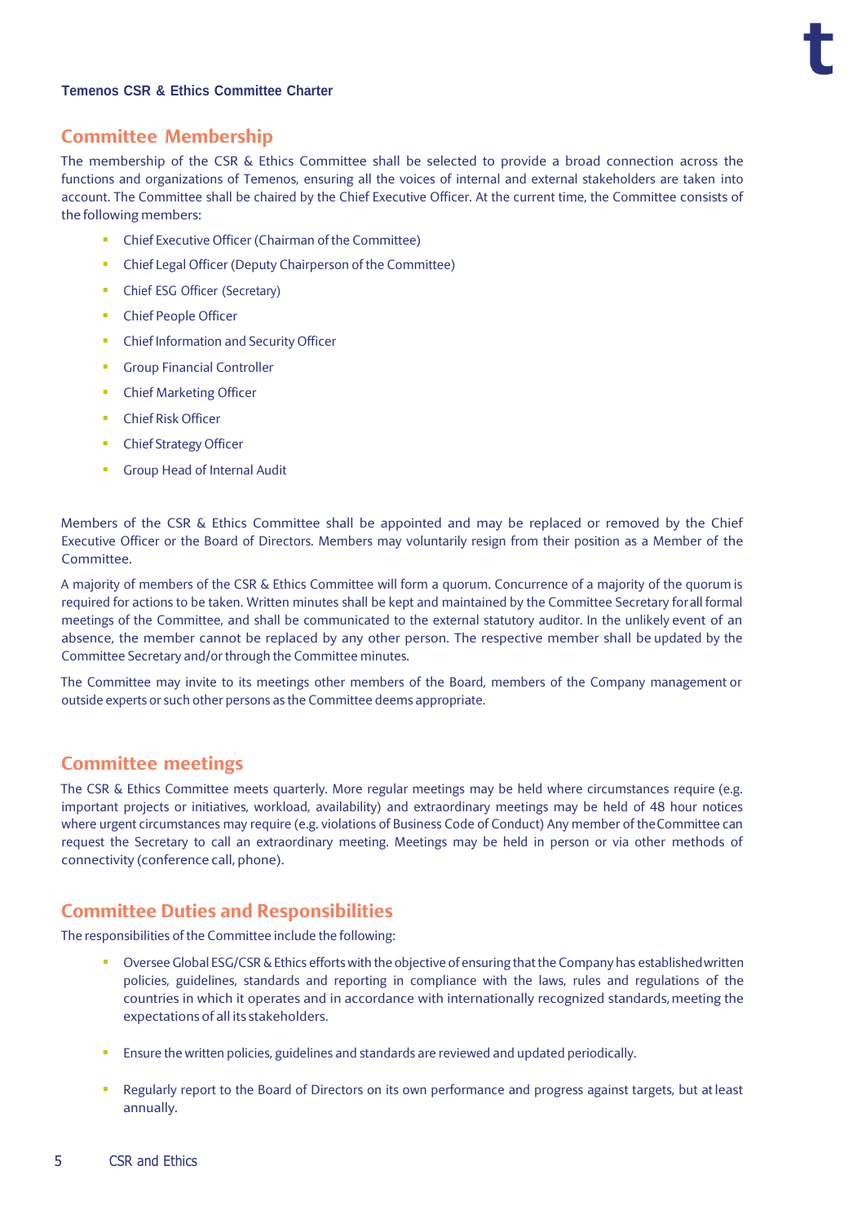#### **Temenos CSR & Ethics Committee Charter**

#### **Committee Membership**

The membership of the CSR & Ethics Committee shall be selected to provide a broad connection across the functions and organizations of Temenos, ensuring all the voices of internal and external stakeholders are taken into account. The Committee shall be chaired by the Chief Executive Officer. At the current time, the Committee consists of the following members:

- Chief Executive Officer (Chairman of the Committee)
- Chief Legal Officer (Deputy Chairperson of the Committee)
- **Chief ESG Officer (Secretary)**
- Chief People Officer
- **•** Chief Information and Security Officer
- **Group Financial Controller**
- **Chief Marketing Officer**
- Chief Risk Officer
- **Chief Strategy Officer**
- Group Head of Internal Audit

Members of the CSR & Ethics Committee shall be appointed and may be replaced or removed by the Chief Executive Officer or the Board of Directors. Members may voluntarily resign from their position as a Member of the Committee.

A majority of members of the CSR & Ethics Committee will form a quorum. Concurrence of a majority of the quorum is required for actions to be taken. Written minutes shall be kept and maintained by the Committee Secretary forall formal meetings of the Committee, and shall be communicated to the external statutory auditor. In the unlikely event of an absence, the member cannot be replaced by any other person. The respective member shall be updated by the Committee Secretary and/or through the Committee minutes.

The Committee may invite to its meetings other members of the Board, members of the Company management or outside experts or such other persons as the Committee deems appropriate.

#### <span id="page-4-0"></span>**Committee meetings**

The CSR & Ethics Committee meets quarterly. More regular meetings may be held where circumstances require (e.g. important projects or initiatives, workload, availability) and extraordinary meetings may be held of 48 hour notices where urgent circumstances may require (e.g. violations of Business Code of Conduct) Any member of theCommittee can request the Secretary to call an extraordinary meeting. Meetings may be held in person or via other methods of connectivity (conference call, phone).

#### <span id="page-4-1"></span>**Committee Duties and Responsibilities**

The responsibilities of the Committee include the following:

- Oversee Global ESG/CSR & Ethics efforts with the objective of ensuring that the Company has established written policies, guidelines, standards and reporting in compliance with the laws, rules and regulations of the countries in which it operates and in accordance with internationally recognized standards, meeting the expectations of all its stakeholders.
- Ensure the written policies, guidelines and standards are reviewed and updated periodically.
- Regularly report to the Board of Directors on its own performance and progress against targets, but at least annually.